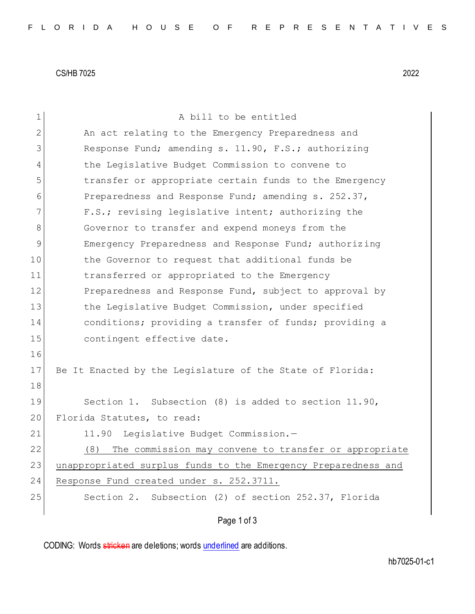CS/HB 7025 2022

| 1  | A bill to be entitled                                          |
|----|----------------------------------------------------------------|
| 2  | An act relating to the Emergency Preparedness and              |
| 3  | Response Fund; amending s. 11.90, F.S.; authorizing            |
| 4  | the Legislative Budget Commission to convene to                |
| 5  | transfer or appropriate certain funds to the Emergency         |
| 6  | Preparedness and Response Fund; amending s. 252.37,            |
| 7  | F.S.; revising legislative intent; authorizing the             |
| 8  | Governor to transfer and expend moneys from the                |
| 9  | Emergency Preparedness and Response Fund; authorizing          |
| 10 | the Governor to request that additional funds be               |
| 11 | transferred or appropriated to the Emergency                   |
| 12 | Preparedness and Response Fund, subject to approval by         |
| 13 | the Legislative Budget Commission, under specified             |
| 14 | conditions; providing a transfer of funds; providing a         |
| 15 | contingent effective date.                                     |
| 16 |                                                                |
| 17 | Be It Enacted by the Legislature of the State of Florida:      |
| 18 |                                                                |
| 19 | Section 1. Subsection (8) is added to section 11.90,           |
| 20 | Florida Statutes, to read:                                     |
| 21 | Legislative Budget Commission.-<br>11.90                       |
| 22 | (8) The commission may convene to transfer or appropriate      |
| 23 | unappropriated surplus funds to the Emergency Preparedness and |
| 24 | Response Fund created under s. 252.3711.                       |
| 25 | Section 2. Subsection (2) of section 252.37, Florida           |
|    | Page 1 of 3                                                    |

CODING: Words stricken are deletions; words underlined are additions.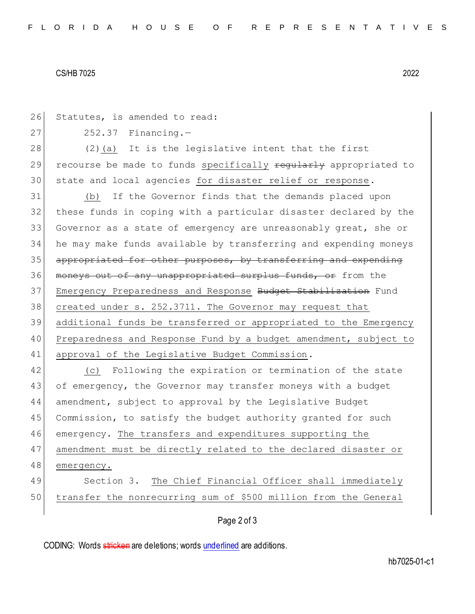## CS/HB 7025 2022

| 26 | Statutes, is amended to read:                                    |
|----|------------------------------------------------------------------|
| 27 | $252.37$ Financing.-                                             |
| 28 | $(2)$ (a) It is the legislative intent that the first            |
| 29 | recourse be made to funds specifically requiarly appropriated to |
| 30 | state and local agencies for disaster relief or response.        |
| 31 | If the Governor finds that the demands placed upon<br>(b)        |
| 32 | these funds in coping with a particular disaster declared by the |
| 33 | Governor as a state of emergency are unreasonably great, she or  |
| 34 | he may make funds available by transferring and expending moneys |
| 35 | appropriated for other purposes, by transferring and expending   |
| 36 | moneys out of any unappropriated surplus funds, or from the      |
| 37 | Emergency Preparedness and Response Budget Stabilization Fund    |
| 38 | created under s. 252.3711. The Governor may request that         |
| 39 | additional funds be transferred or appropriated to the Emergency |
| 40 | Preparedness and Response Fund by a budget amendment, subject to |
| 41 | approval of the Legislative Budget Commission.                   |
| 42 | Following the expiration or termination of the state<br>(C)      |
| 43 | of emergency, the Governor may transfer moneys with a budget     |
| 44 | amendment, subject to approval by the Legislative Budget         |
| 45 | Commission, to satisfy the budget authority granted for such     |
| 46 | emergency. The transfers and expenditures supporting the         |
| 47 | amendment must be directly related to the declared disaster or   |
| 48 | emergency.                                                       |
| 49 | Section 3. The Chief Financial Officer shall immediately         |
| 50 | transfer the nonrecurring sum of \$500 million from the General  |
|    | Page 2 of 3                                                      |

CODING: Words stricken are deletions; words underlined are additions.